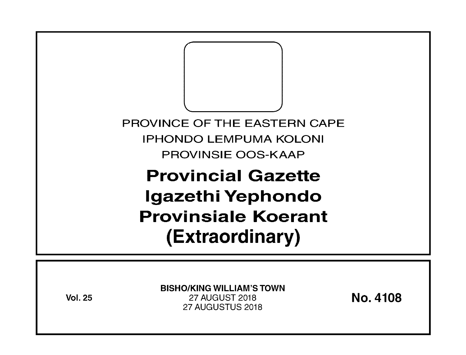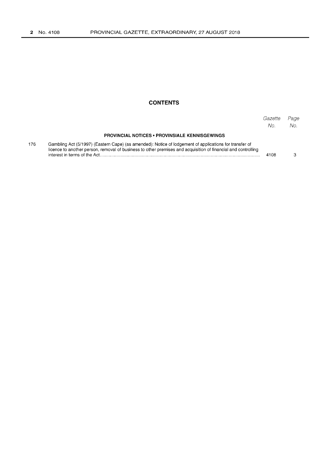# **CONTENTS**

|     |                                                                                                                                                                                                                                                          | Gazette<br>No. | Page<br>No. |
|-----|----------------------------------------------------------------------------------------------------------------------------------------------------------------------------------------------------------------------------------------------------------|----------------|-------------|
|     | <b>PROVINCIAL NOTICES • PROVINSIALE KENNISGEWINGS</b>                                                                                                                                                                                                    |                |             |
| 176 | Gambling Act (5/1997) (Eastern Cape) (as amended): Notice of lodgement of applications for transfer of<br>licence to another person, removal of business to other premises and acquisition of financial and controlling<br>interest in terms of the Act. | 4108           |             |